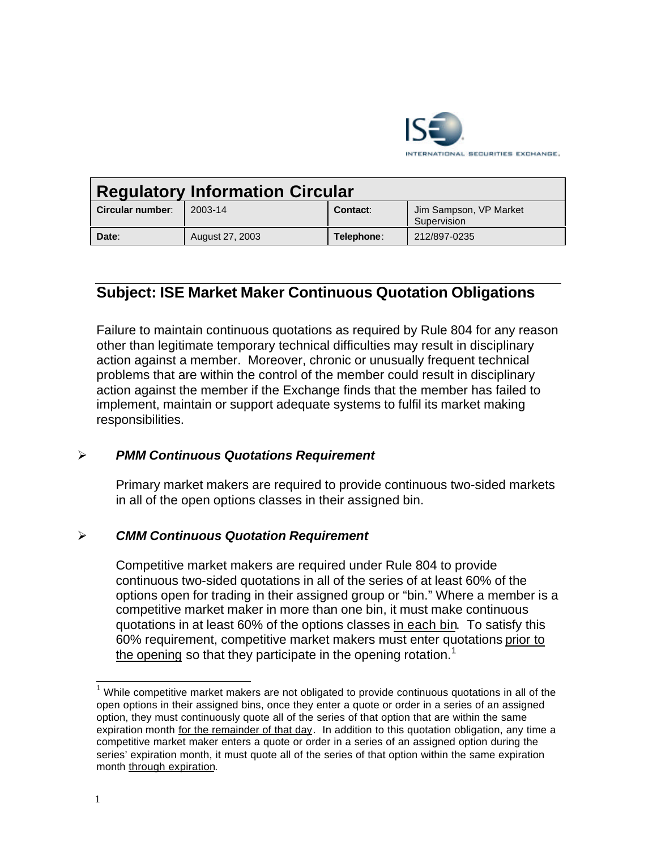

| <b>Regulatory Information Circular</b> |                 |            |                                       |
|----------------------------------------|-----------------|------------|---------------------------------------|
| Circular number:                       | 2003-14         | Contact:   | Jim Sampson, VP Market<br>Supervision |
| Date:                                  | August 27, 2003 | Telephone: | 212/897-0235                          |

# **Subject: ISE Market Maker Continuous Quotation Obligations**

Failure to maintain continuous quotations as required by Rule 804 for any reason other than legitimate temporary technical difficulties may result in disciplinary action against a member. Moreover, chronic or unusually frequent technical problems that are within the control of the member could result in disciplinary action against the member if the Exchange finds that the member has failed to implement, maintain or support adequate systems to fulfil its market making responsibilities.

## ÿ *PMM Continuous Quotations Requirement*

Primary market makers are required to provide continuous two-sided markets in all of the open options classes in their assigned bin.

# ÿ *CMM Continuous Quotation Requirement*

Competitive market makers are required under Rule 804 to provide continuous two-sided quotations in all of the series of at least 60% of the options open for trading in their assigned group or "bin." Where a member is a competitive market maker in more than one bin, it must make continuous quotations in at least 60% of the options classes in each bin. To satisfy this 60% requirement, competitive market makers must enter quotations prior to the opening so that they participate in the opening rotation.<sup>1</sup>

 1 While competitive market makers are not obligated to provide continuous quotations in all of the open options in their assigned bins, once they enter a quote or order in a series of an assigned option, they must continuously quote all of the series of that option that are within the same expiration month for the remainder of that day. In addition to this quotation obligation, any time a competitive market maker enters a quote or order in a series of an assigned option during the series' expiration month, it must quote all of the series of that option within the same expiration month through expiration.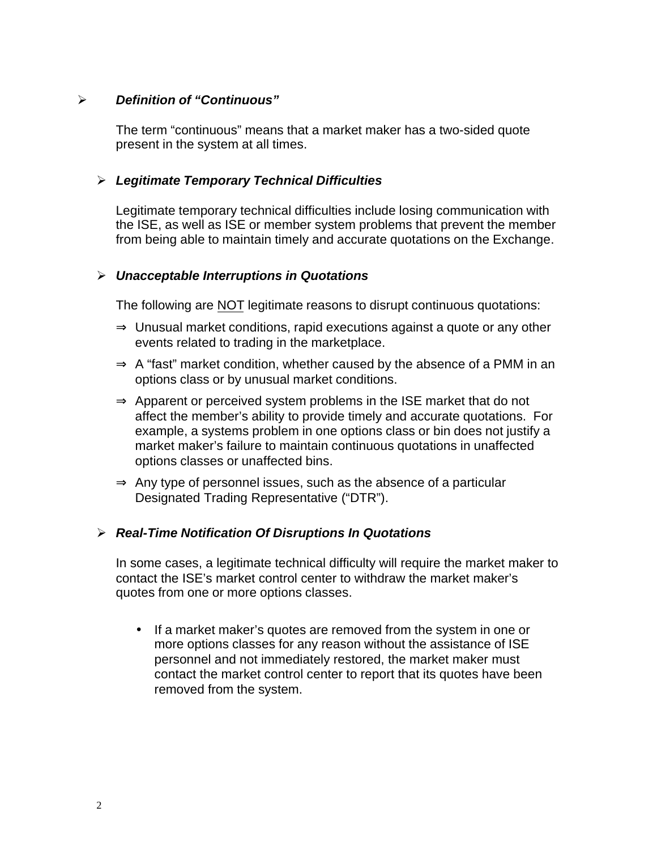### ÿ *Definition of "Continuous"*

The term "continuous" means that a market maker has a two-sided quote present in the system at all times.

## ÿ *Legitimate Temporary Technical Difficulties*

Legitimate temporary technical difficulties include losing communication with the ISE, as well as ISE or member system problems that prevent the member from being able to maintain timely and accurate quotations on the Exchange.

#### ÿ *Unacceptable Interruptions in Quotations*

The following are NOT legitimate reasons to disrupt continuous quotations:

- $\Rightarrow$  Unusual market conditions, rapid executions against a quote or any other events related to trading in the marketplace.
- $\Rightarrow$  A "fast" market condition, whether caused by the absence of a PMM in an options class or by unusual market conditions.
- $\Rightarrow$  Apparent or perceived system problems in the ISE market that do not affect the member's ability to provide timely and accurate quotations. For example, a systems problem in one options class or bin does not justify a market maker's failure to maintain continuous quotations in unaffected options classes or unaffected bins.
- $\Rightarrow$  Any type of personnel issues, such as the absence of a particular Designated Trading Representative ("DTR").

#### ÿ *Real-Time Notification Of Disruptions In Quotations*

In some cases, a legitimate technical difficulty will require the market maker to contact the ISE's market control center to withdraw the market maker's quotes from one or more options classes.

• If a market maker's quotes are removed from the system in one or more options classes for any reason without the assistance of ISE personnel and not immediately restored, the market maker must contact the market control center to report that its quotes have been removed from the system.